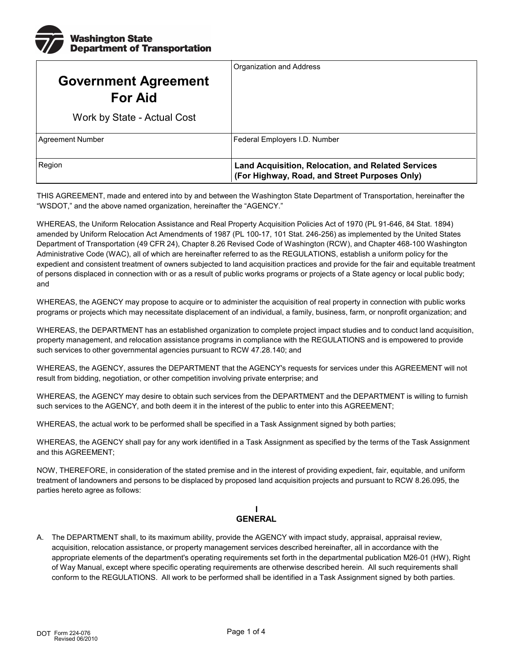

|                                               | Organization and Address                                                                                   |
|-----------------------------------------------|------------------------------------------------------------------------------------------------------------|
| <b>Government Agreement</b><br><b>For Aid</b> |                                                                                                            |
| Work by State - Actual Cost                   |                                                                                                            |
| Agreement Number                              | Federal Employers I.D. Number                                                                              |
| Region                                        | <b>Land Acquisition, Relocation, and Related Services</b><br>(For Highway, Road, and Street Purposes Only) |

THIS AGREEMENT, made and entered into by and between the Washington State Department of Transportation, hereinafter the "WSDOT," and the above named organization, hereinafter the "AGENCY."

WHEREAS, the Uniform Relocation Assistance and Real Property Acquisition Policies Act of 1970 (PL 91-646, 84 Stat. 1894) amended by Uniform Relocation Act Amendments of 1987 (PL 100-17, 101 Stat. 246-256) as implemented by the United States Department of Transportation (49 CFR 24), Chapter 8.26 Revised Code of Washington (RCW), and Chapter 468-100 Washington Administrative Code (WAC), all of which are hereinafter referred to as the REGULATIONS, establish a uniform policy for the expedient and consistent treatment of owners subjected to land acquisition practices and provide for the fair and equitable treatment of persons displaced in connection with or as a result of public works programs or projects of a State agency or local public body; and

 WHEREAS, the AGENCY may propose to acquire or to administer the acquisition of real property in connection with public works programs or projects which may necessitate displacement of an individual, a family, business, farm, or nonprofit organization; and

WHEREAS, the DEPARTMENT has an established organization to complete project impact studies and to conduct land acquisition, property management, and relocation assistance programs in compliance with the REGULATIONS and is empowered to provide such services to other governmental agencies pursuant to RCW 47.28.140; and

WHEREAS, the AGENCY, assures the DEPARTMENT that the AGENCY's requests for services under this AGREEMENT will not result from bidding, negotiation, or other competition involving private enterprise; and

 WHEREAS, the AGENCY may desire to obtain such services from the DEPARTMENT and the DEPARTMENT is willing to furnish such services to the AGENCY, and both deem it in the interest of the public to enter into this AGREEMENT;

WHEREAS, the actual work to be performed shall be specified in a Task Assignment signed by both parties;

 WHEREAS, the AGENCY shall pay for any work identified in a Task Assignment as specified by the terms of the Task Assignment and this AGREEMENT;

 treatment of landowners and persons to be displaced by proposed land acquisition projects and pursuant to RCW 8.26.095, the NOW, THEREFORE, in consideration of the stated premise and in the interest of providing expedient, fair, equitable, and uniform parties hereto agree as follows:

## **I GENERAL**

A. The DEPARTMENT shall, to its maximum ability, provide the AGENCY with impact study, appraisal, appraisal review, acquisition, relocation assistance, or property management services described hereinafter, all in accordance with the appropriate elements of the department's operating requirements set forth in the departmental publication M26-01 (HW), Right of Way Manual, except where specific operating requirements are otherwise described herein. All such requirements shall conform to the REGULATIONS. All work to be performed shall be identified in a Task Assignment signed by both parties.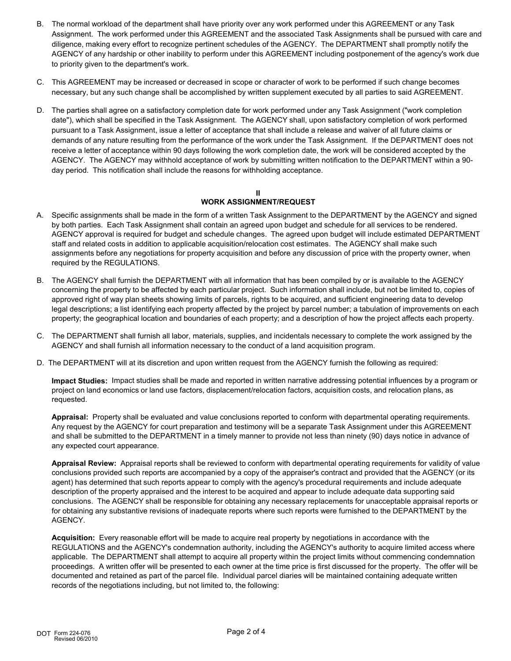- B. The normal workload of the department shall have priority over any work performed under this AGREEMENT or any Task Assignment. The work performed under this AGREEMENT and the associated Task Assignments shall be pursued with care and diligence, making every effort to recognize pertinent schedules of the AGENCY. The DEPARTMENT shall promptly notify the AGENCY of any hardship or other inability to perform under this AGREEMENT including postponement of the agency's work due to priority given to the department's work.
- C. This AGREEMENT may be increased or decreased in scope or character of work to be performed if such change becomes necessary, but any such change shall be accomplished by written supplement executed by all parties to said AGREEMENT.
- D. The parties shall agree on a satisfactory completion date for work performed under any Task Assignment ("work completion date"), which shall be specified in the Task Assignment. The AGENCY shall, upon satisfactory completion of work performed pursuant to a Task Assignment, issue a letter of acceptance that shall include a release and waiver of all future claims or demands of any nature resulting from the performance of the work under the Task Assignment. If the DEPARTMENT does not receive a letter of acceptance within 90 days following the work completion date, the work will be considered accepted by the AGENCY. The AGENCY may withhold acceptance of work by submitting written notification to the DEPARTMENT within a 90 day period. This notification shall include the reasons for withholding acceptance.

#### **II WORK ASSIGNMENT/REQUEST**

- A. Specific assignments shall be made in the form of a written Task Assignment to the DEPARTMENT by the AGENCY and signed by both parties. Each Task Assignment shall contain an agreed upon budget and schedule for all services to be rendered. AGENCY approval is required for budget and schedule changes. The agreed upon budget will include estimated DEPARTMENT staff and related costs in addition to applicable acquisition/relocation cost estimates. The AGENCY shall make such assignments before any negotiations for property acquisition and before any discussion of price with the property owner, when required by the REGULATIONS.
- B. The AGENCY shall furnish the DEPARTMENT with all information that has been compiled by or is available to the AGENCY concerning the property to be affected by each particular project. Such information shall include, but not be limited to, copies of approved right of way plan sheets showing limits of parcels, rights to be acquired, and sufficient engineering data to develop legal descriptions; a list identifying each property affected by the project by parcel number; a tabulation of improvements on each property; the geographical location and boundaries of each property; and a description of how the project affects each property.
- C. The DEPARTMENT shall furnish all labor, materials, supplies, and incidentals necessary to complete the work assigned by the AGENCY and shall furnish all information necessary to the conduct of a land acquisition program.
- D. The DEPARTMENT will at its discretion and upon written request from the AGENCY furnish the following as required:

**Impact Studies:** Impact studies shall be made and reported in written narrative addressing potential influences by a program or project on land economics or land use factors, displacement/relocation factors, acquisition costs, and relocation plans, as requested.

**Appraisal:** Property shall be evaluated and value conclusions reported to conform with departmental operating requirements. Any request by the AGENCY for court preparation and testimony will be a separate Task Assignment under this AGREEMENT and shall be submitted to the DEPARTMENT in a timely manner to provide not less than ninety (90) days notice in advance of any expected court appearance.

**Appraisal Review:** Appraisal reports shall be reviewed to conform with departmental operating requirements for validity of value conclusions provided such reports are accompanied by a copy of the appraiser's contract and provided that the AGENCY (or its agent) has determined that such reports appear to comply with the agency's procedural requirements and include adequate description of the property appraised and the interest to be acquired and appear to include adequate data supporting said conclusions. The AGENCY shall be responsible for obtaining any necessary replacements for unacceptable appraisal reports or for obtaining any substantive revisions of inadequate reports where such reports were furnished to the DEPARTMENT by the AGENCY.

**Acquisition:** Every reasonable effort will be made to acquire real property by negotiations in accordance with the REGULATIONS and the AGENCY's condemnation authority, including the AGENCY's authority to acquire limited access where applicable. The DEPARTMENT shall attempt to acquire all property within the project limits without commencing condemnation proceedings. A written offer will be presented to each owner at the time price is first discussed for the property. The offer will be documented and retained as part of the parcel file. Individual parcel diaries will be maintained containing adequate written records of the negotiations including, but not limited to, the following: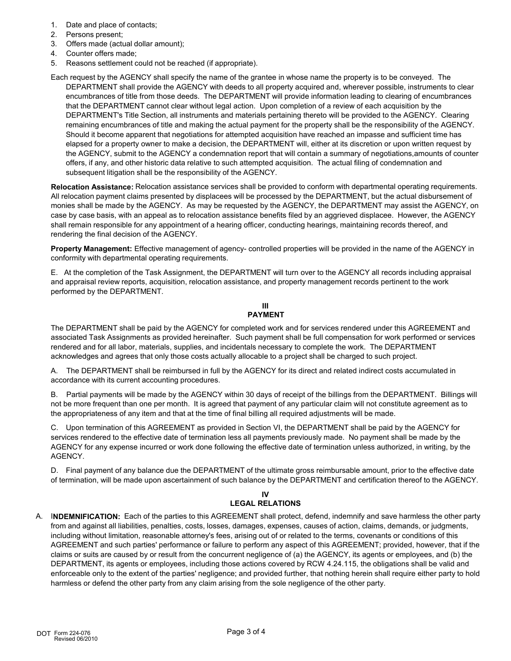- 1. Date and place of contacts;
- 2. Persons present;
- 3. Offers made (actual dollar amount);
- 4. Counter offers made;
- 5. Reasons settlement could not be reached (if appropriate).

Each request by the AGENCY shall specify the name of the grantee in whose name the property is to be conveyed. The DEPARTMENT shall provide the AGENCY with deeds to all property acquired and, wherever possible, instruments to clear encumbrances of title from those deeds. The DEPARTMENT will provide information leading to clearing of encumbrances that the DEPARTMENT cannot clear without legal action. Upon completion of a review of each acquisition by the DEPARTMENT's Title Section, all instruments and materials pertaining thereto will be provided to the AGENCY. Clearing remaining encumbrances of title and making the actual payment for the property shall be the responsibility of the AGENCY. Should it become apparent that negotiations for attempted acquisition have reached an impasse and sufficient time has elapsed for a property owner to make a decision, the DEPARTMENT will, either at its discretion or upon written request by the AGENCY, submit to the AGENCY a condemnation report that will contain a summary of negotiations,amounts of counter offers, if any, and other historic data relative to such attempted acquisition. The actual filing of condemnation and subsequent litigation shall be the responsibility of the AGENCY.

**Relocation Assistance:** Relocation assistance services shall be provided to conform with departmental operating requirements. All relocation payment claims presented by displacees will be processed by the DEPARTMENT, but the actual disbursement of monies shall be made by the AGENCY. As may be requested by the AGENCY, the DEPARTMENT may assist the AGENCY, on case by case basis, with an appeal as to relocation assistance benefits filed by an aggrieved displacee. However, the AGENCY shall remain responsible for any appointment of a hearing officer, conducting hearings, maintaining records thereof, and rendering the final decision of the AGENCY.

**Property Management:** Effective management of agency- controlled properties will be provided in the name of the AGENCY in conformity with departmental operating requirements.

E. At the completion of the Task Assignment, the DEPARTMENT will turn over to the AGENCY all records including appraisal and appraisal review reports, acquisition, relocation assistance, and property management records pertinent to the work performed by the DEPARTMENT.

### **III PAYMENT**

The DEPARTMENT shall be paid by the AGENCY for completed work and for services rendered under this AGREEMENT and associated Task Assignments as provided hereinafter. Such payment shall be full compensation for work performed or services rendered and for all labor, materials, supplies, and incidentals necessary to complete the work. The DEPARTMENT acknowledges and agrees that only those costs actually allocable to a project shall be charged to such project.

A. The DEPARTMENT shall be reimbursed in full by the AGENCY for its direct and related indirect costs accumulated in accordance with its current accounting procedures.

B. Partial payments will be made by the AGENCY within 30 days of receipt of the billings from the DEPARTMENT. Billings will not be more frequent than one per month. It is agreed that payment of any particular claim will not constitute agreement as to the appropriateness of any item and that at the time of final billing all required adjustments will be made.

C. Upon termination of this AGREEMENT as provided in Section VI, the DEPARTMENT shall be paid by the AGENCY for services rendered to the effective date of termination less all payments previously made. No payment shall be made by the AGENCY for any expense incurred or work done following the effective date of termination unless authorized, in writing, by the AGENCY.

D. Final payment of any balance due the DEPARTMENT of the ultimate gross reimbursable amount, prior to the effective date of termination, will be made upon ascertainment of such balance by the DEPARTMENT and certification thereof to the AGENCY.

#### **IV LEGAL RELATIONS**

A. I**NDEMNIFICATION:** Each of the parties to this AGREEMENT shall protect, defend, indemnify and save harmless the other party from and against all liabilities, penalties, costs, losses, damages, expenses, causes of action, claims, demands, or judgments, including without limitation, reasonable attorney's fees, arising out of or related to the terms, covenants or conditions of this AGREEMENT and such parties' performance or failure to perform any aspect of this AGREEMENT; provided, however, that if the claims or suits are caused by or result from the concurrent negligence of (a) the AGENCY, its agents or employees, and (b) the DEPARTMENT, its agents or employees, including those actions covered by RCW 4.24.115, the obligations shall be valid and enforceable only to the extent of the parties' negligence; and provided further, that nothing herein shall require either party to hold harmless or defend the other party from any claim arising from the sole negligence of the other party.